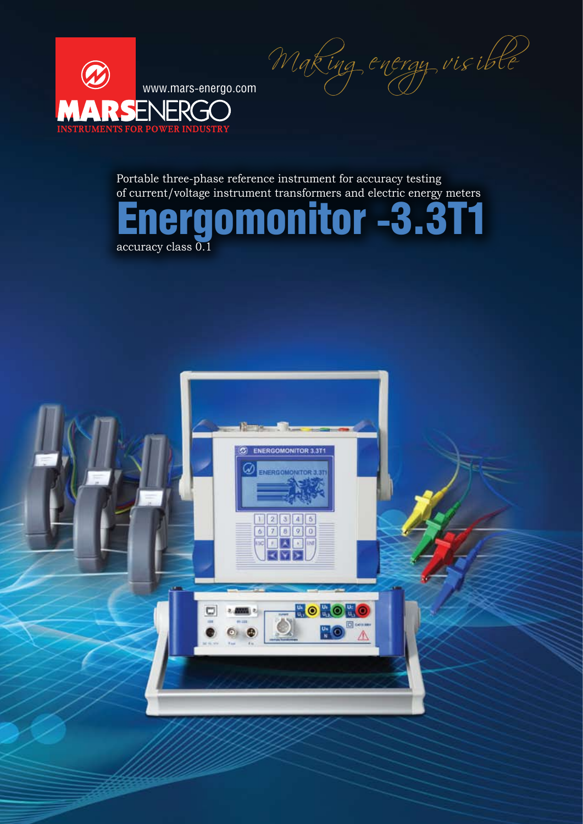Making energy visible



Portable three-phase reference instrument for accuracy testing of current/voltage instrument transformers and electric energy meters



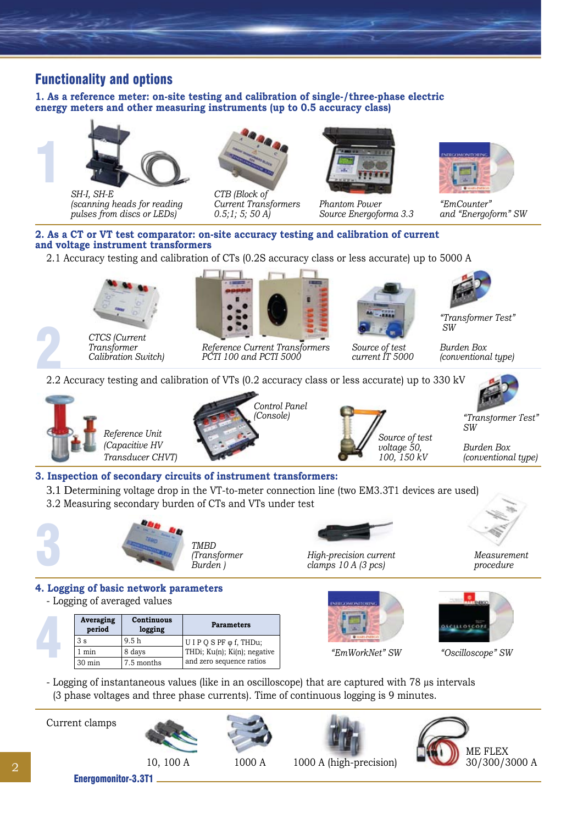## Functionality and options

**1. As a reference meter: on-site testing and calibration of single-/three-phase electric energy meters and other measuring instruments (up to 0.5 accuracy class)** 



*SH-I, SH-E (scanning heads for reading pulses from discs or LEDs)*



*CTB (Block of Current Transformers 0.5;1; 5; 50 A)*



*Phantom Power Source Energoforma 3.3*



*"EmCounter" and "Energoform" SW*

#### **2. As a CT or VT test comparator: on-site accuracy testing and calibration of current and voltage instrument transformers**

2.1 Accuracy testing and calibration of CTs (0.2S accuracy class or less accurate) up to 5000 A



*Transformer Calibration Switch)*



*Reference Current Transformers PCTI 100 and PCTI 5000*



*Source of test current IT 5000*



*"Transformer Test" SW*

*Burden Box (conventional type)*

*SW*

2.2 Accuracy testing and calibration of VTs (0.2 accuracy class or less accurate) up to 330 kV 2







*Burden Box (conventional type)*

*"Transformer Test"* 

# **3. Inspection of secondary circuits of instrument transformers:**

- 3.1 Determining voltage drop in the VT-to-meter connection line (two EM3.3T1 devices are used)
- 3.2 Measuring secondary burden of CTs and VTs under test



**Averaging period**

1 min 8 days 30 min 7.5 months







*Measurement procedure*

**4. Logging of basic network parameters** - Logging of averaged values **Continuous logging Parameters**  $3 s$  9.5 h U I P Q S PF  $\varphi$  f, THDu;

THDi; Ku(n); Ki(n); negative and zero sequence ratios





*"EmWorkNet" SW "Oscilloscope" SW*

- Logging of instantaneous values (like in an oscilloscope) that are captured with 78 µs intervals (3 phase voltages and three phase currents). Time of continuous logging is 9 minutes.

Current clamps

4









Energomonitor-3.3T1

2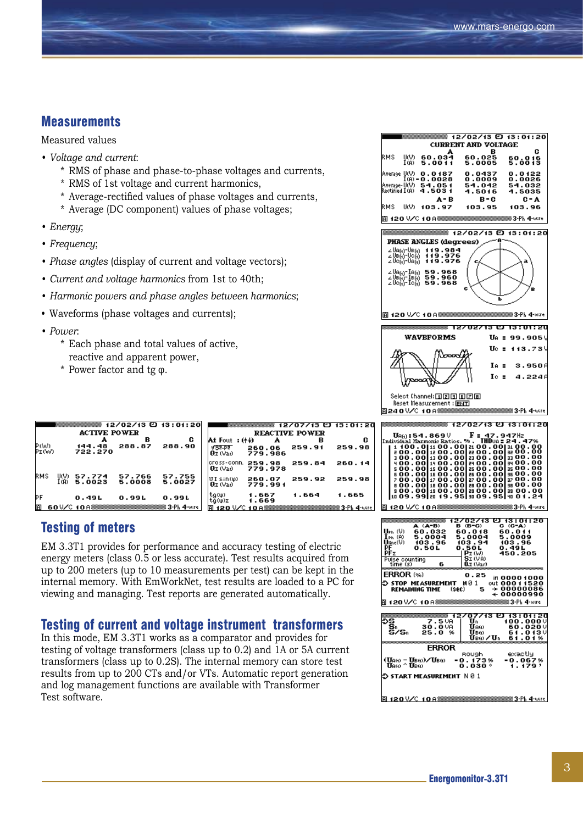#### **Measurements**

Measured values

- *• Voltage and current*:
	- \* RMS of phase and phase-to-phase voltages and currents,
	- \* RMS of 1st voltage and current harmonics,
	- \* Average-rectified values of phase voltages and currents,
	- \* Average (DC component) values of phase voltages;
- *• Energy*;
- *• Frequency*;
- *• Phase angles* (display of current and voltage vectors);
- *• Current and voltage harmonics* from 1st to 40th;
- *• Harmonic powers and phase angles between harmonics*;
- Waveforms (phase voltages and currents);
- *• Power*:
	- \* Each phase and total values of active, reactive and apparent power,
	- \* Power factor and tg φ.

| ▒ 12/02/13 ញ 13:01:20<br><b>ACTIVE POWER</b> |                     |                  |                  |                    |
|----------------------------------------------|---------------------|------------------|------------------|--------------------|
| Ρ(W)<br>Ρε(W)                                | 144.48              | в                | c                | A                  |
|                                              | 722.270             | 288.87           | 288.90           | ď                  |
| RMS<br>U(V).<br>I (A)                        | 57.774<br>5.0023    | 57.766<br>5.0008 | 57.755<br>5.0027 | сı<br>Ä<br>ă       |
| РF                                           | 0.49L               | 0.99L            | 0.99L            | $_{\rm t}^{\rm t}$ |
| 面                                            | 60 V/C 10 A 3333333 |                  | ▒▒ 3-Ph 4l-wire  | 面                  |

|                                               |                   | 888 12707713 CJ 13:01:2 |        |  |
|-----------------------------------------------|-------------------|-------------------------|--------|--|
| <b>REACTIVE POWER</b>                         |                   |                         |        |  |
| Alt Fout : (本位                                | A                 | R                       | G      |  |
| √उट-एटा<br>Qz (Var) -                         | 260.06<br>779.986 | 259.91                  | 259.98 |  |
| cross-conn. 259.98<br>Qz (Vad                 | 779.978           | 259.84                  | 260.14 |  |
| $UT \sin(\phi)$<br>$Q_{\Sigma}$ (Var) $^{-1}$ | 260.07<br>779.991 | 259.92                  | 259.98 |  |
| ta(w)<br>tğ(φ)Σ                               | 1.667<br>1.669    | 1.664                   | 1.665  |  |
|                                               |                   |                         |        |  |

#### Testing of meters

EM 3.3T1 provides for performance and accuracy testing of electric energy meters (class 0.5 or less accurate). Test results acquired from up to 200 meters (up to 10 measurements per test) can be kept in the internal memory. With EmWorkNet, test results are loaded to a PC for viewing and managing. Test reports are generated automatically.

#### Testing of current and voltage instrument transformers

In this mode, EM 3.3T1 works as a comparator and provides for testing of voltage transformers (class up to 0.2) and 1A or 5A current transformers (class up to 0.2S). The internal memory can store test results from up to 200 CTs and/or VTs. Automatic report generation and log management functions are available with Transformer Test software.